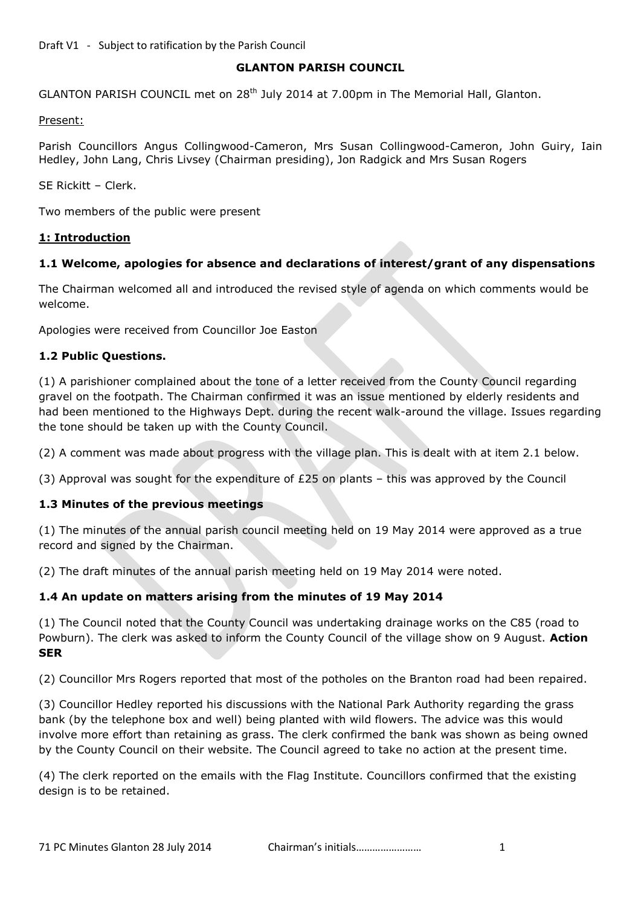### **GLANTON PARISH COUNCIL**

GLANTON PARISH COUNCIL met on 28<sup>th</sup> July 2014 at 7.00pm in The Memorial Hall, Glanton.

Present:

Parish Councillors Angus Collingwood-Cameron, Mrs Susan Collingwood-Cameron, John Guiry, Iain Hedley, John Lang, Chris Livsey (Chairman presiding), Jon Radgick and Mrs Susan Rogers

SE Rickitt – Clerk.

Two members of the public were present

#### **1: Introduction**

## **1.1 Welcome, apologies for absence and declarations of interest/grant of any dispensations**

The Chairman welcomed all and introduced the revised style of agenda on which comments would be welcome.

Apologies were received from Councillor Joe Easton

### **1.2 Public Questions.**

(1) A parishioner complained about the tone of a letter received from the County Council regarding gravel on the footpath. The Chairman confirmed it was an issue mentioned by elderly residents and had been mentioned to the Highways Dept. during the recent walk-around the village. Issues regarding the tone should be taken up with the County Council.

(2) A comment was made about progress with the village plan. This is dealt with at item 2.1 below.

(3) Approval was sought for the expenditure of £25 on plants – this was approved by the Council

### **1.3 Minutes of the previous meetings**

(1) The minutes of the annual parish council meeting held on 19 May 2014 were approved as a true record and signed by the Chairman.

(2) The draft minutes of the annual parish meeting held on 19 May 2014 were noted.

### **1.4 An update on matters arising from the minutes of 19 May 2014**

(1) The Council noted that the County Council was undertaking drainage works on the C85 (road to Powburn). The clerk was asked to inform the County Council of the village show on 9 August. **Action SER**

(2) Councillor Mrs Rogers reported that most of the potholes on the Branton road had been repaired.

(3) Councillor Hedley reported his discussions with the National Park Authority regarding the grass bank (by the telephone box and well) being planted with wild flowers. The advice was this would involve more effort than retaining as grass. The clerk confirmed the bank was shown as being owned by the County Council on their website. The Council agreed to take no action at the present time.

(4) The clerk reported on the emails with the Flag Institute. Councillors confirmed that the existing design is to be retained.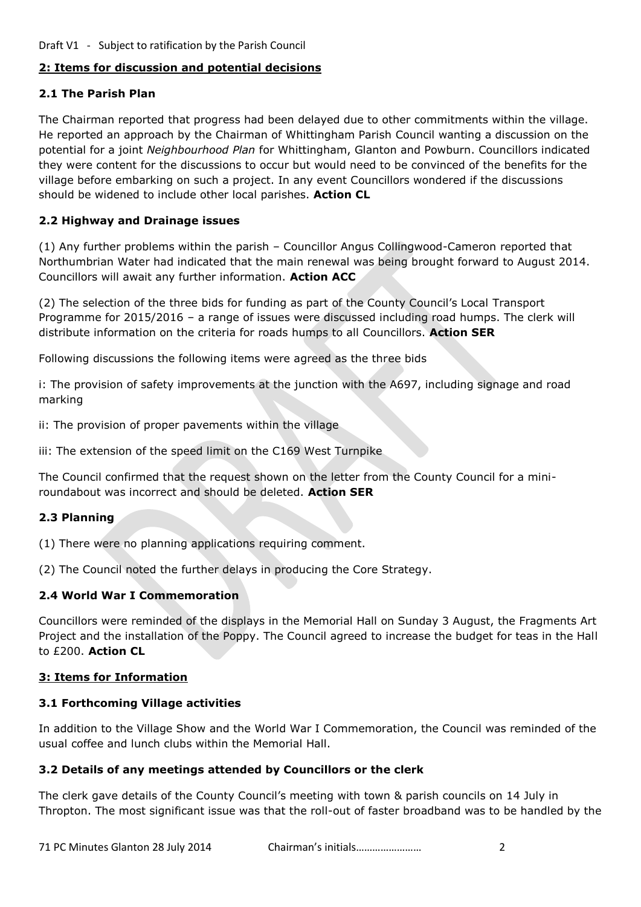### **2: Items for discussion and potential decisions**

### **2.1 The Parish Plan**

The Chairman reported that progress had been delayed due to other commitments within the village. He reported an approach by the Chairman of Whittingham Parish Council wanting a discussion on the potential for a joint *Neighbourhood Plan* for Whittingham, Glanton and Powburn. Councillors indicated they were content for the discussions to occur but would need to be convinced of the benefits for the village before embarking on such a project. In any event Councillors wondered if the discussions should be widened to include other local parishes. **Action CL**

## **2.2 Highway and Drainage issues**

(1) Any further problems within the parish – Councillor Angus Collingwood-Cameron reported that Northumbrian Water had indicated that the main renewal was being brought forward to August 2014. Councillors will await any further information. **Action ACC**

(2) The selection of the three bids for funding as part of the County Council's Local Transport Programme for 2015/2016 – a range of issues were discussed including road humps. The clerk will distribute information on the criteria for roads humps to all Councillors. **Action SER**

Following discussions the following items were agreed as the three bids

i: The provision of safety improvements at the junction with the A697, including signage and road marking

ii: The provision of proper pavements within the village

iii: The extension of the speed limit on the C169 West Turnpike

The Council confirmed that the request shown on the letter from the County Council for a miniroundabout was incorrect and should be deleted. **Action SER**

### **2.3 Planning**

(1) There were no planning applications requiring comment.

(2) The Council noted the further delays in producing the Core Strategy.

### **2.4 World War I Commemoration**

Councillors were reminded of the displays in the Memorial Hall on Sunday 3 August, the Fragments Art Project and the installation of the Poppy. The Council agreed to increase the budget for teas in the Hall to £200. **Action CL**

### **3: Items for Information**

### **3.1 Forthcoming Village activities**

In addition to the Village Show and the World War I Commemoration, the Council was reminded of the usual coffee and lunch clubs within the Memorial Hall.

### **3.2 Details of any meetings attended by Councillors or the clerk**

The clerk gave details of the County Council's meeting with town & parish councils on 14 July in Thropton. The most significant issue was that the roll-out of faster broadband was to be handled by the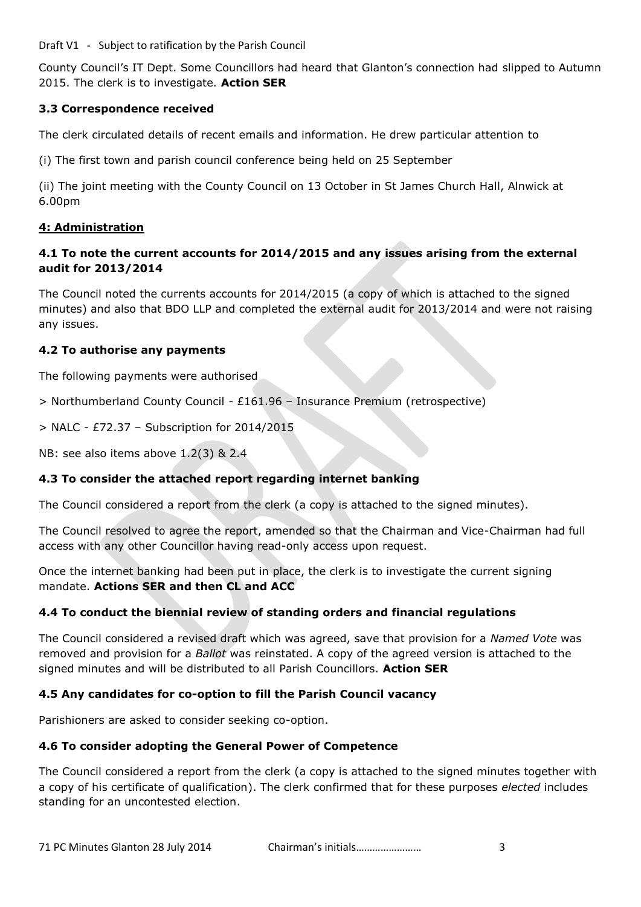Draft V1 - Subject to ratification by the Parish Council

County Council's IT Dept. Some Councillors had heard that Glanton's connection had slipped to Autumn 2015. The clerk is to investigate. **Action SER**

# **3.3 Correspondence received**

The clerk circulated details of recent emails and information. He drew particular attention to

(i) The first town and parish council conference being held on 25 September

(ii) The joint meeting with the County Council on 13 October in St James Church Hall, Alnwick at 6.00pm

## **4: Administration**

# **4.1 To note the current accounts for 2014/2015 and any issues arising from the external audit for 2013/2014**

The Council noted the currents accounts for 2014/2015 (a copy of which is attached to the signed minutes) and also that BDO LLP and completed the external audit for 2013/2014 and were not raising any issues.

## **4.2 To authorise any payments**

The following payments were authorised

> Northumberland County Council - £161.96 – Insurance Premium (retrospective)

> NALC - £72.37 – Subscription for 2014/2015

NB: see also items above 1.2(3) & 2.4

# **4.3 To consider the attached report regarding internet banking**

The Council considered a report from the clerk (a copy is attached to the signed minutes).

The Council resolved to agree the report, amended so that the Chairman and Vice-Chairman had full access with any other Councillor having read-only access upon request.

Once the internet banking had been put in place, the clerk is to investigate the current signing mandate. **Actions SER and then CL and ACC**

# **4.4 To conduct the biennial review of standing orders and financial regulations**

The Council considered a revised draft which was agreed, save that provision for a *Named Vote* was removed and provision for a *Ballot* was reinstated. A copy of the agreed version is attached to the signed minutes and will be distributed to all Parish Councillors. **Action SER**

# **4.5 Any candidates for co-option to fill the Parish Council vacancy**

Parishioners are asked to consider seeking co-option.

### **4.6 To consider adopting the General Power of Competence**

The Council considered a report from the clerk (a copy is attached to the signed minutes together with a copy of his certificate of qualification). The clerk confirmed that for these purposes *elected* includes standing for an uncontested election.